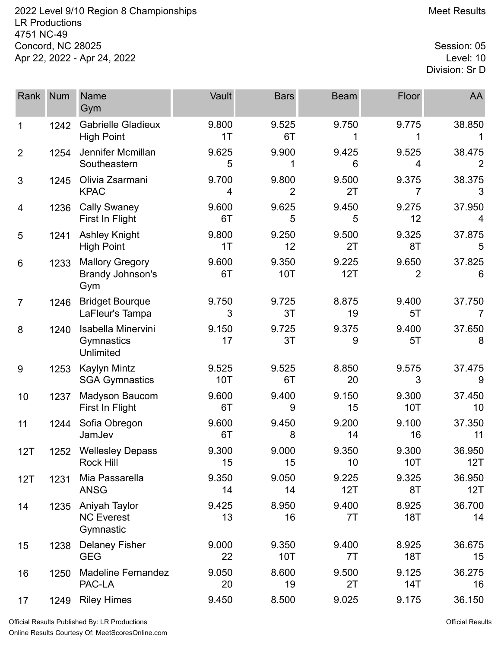2022 Level 9/10 Region 8 Championships **Meet Results** Meet Results LR Productions 4751 NC-49 Concord, NC 28025 Session: 05<br>Apr 22, 2022 - Apr 24, 2022 Apr 22, 2022 - Apr 24, 2022

Division: Sr D

| Rank            | <b>Num</b> | <b>Name</b><br>Gym                                   | Vault        | <b>Bars</b>         | <b>Beam</b>  | Floor                   | AA            |
|-----------------|------------|------------------------------------------------------|--------------|---------------------|--------------|-------------------------|---------------|
| 1               | 1242       | <b>Gabrielle Gladieux</b><br><b>High Point</b>       | 9.800<br>1T  | 9.525<br>6T         | 9.750<br>1   | 9.775<br>1              | 38.850        |
| $\overline{2}$  | 1254       | Jennifer Mcmillan<br>Southeastern                    | 9.625<br>5   | 9.900               | 9.425<br>6   | 9.525<br>4              | 38.475        |
| 3               | 1245       | Olivia Zsarmani<br><b>KPAC</b>                       | 9.700<br>4   | 9.800<br>2          | 9.500<br>2T  | 9.375<br>7              | 38.375<br>3   |
| 4               | 1236       | <b>Cally Swaney</b><br>First In Flight               | 9.600<br>6T  | 9.625<br>5          | 9.450<br>5   | 9.275<br>12             | 37.950<br>4   |
| 5               | 1241       | <b>Ashley Knight</b><br><b>High Point</b>            | 9.800<br>1T  | 9.250<br>12         | 9.500<br>2T  | 9.325<br>8T             | 37.875<br>5   |
| $6\phantom{1}6$ | 1233       | <b>Mallory Gregory</b><br>Brandy Johnson's<br>Gym    | 9.600<br>6T  | 9.350<br><b>10T</b> | 9.225<br>12T | 9.650<br>$\overline{2}$ | 37.825<br>6   |
| $\overline{7}$  | 1246       | <b>Bridget Bourque</b><br>LaFleur's Tampa            | 9.750<br>3   | 9.725<br>3T         | 8.875<br>19  | 9.400<br>5T             | 37.750<br>7   |
| 8               | 1240       | Isabella Minervini<br>Gymnastics<br><b>Unlimited</b> | 9.150<br>17  | 9.725<br>3T         | 9.375<br>9   | 9.400<br>5T             | 37.650<br>8   |
| 9               | 1253       | Kaylyn Mintz<br><b>SGA Gymnastics</b>                | 9.525<br>10T | 9.525<br>6T         | 8.850<br>20  | 9.575<br>3              | 37.475<br>9   |
| 10              | 1237       | Madyson Baucom<br>First In Flight                    | 9.600<br>6T  | 9.400<br>9          | 9.150<br>15  | 9.300<br>10T            | 37.450<br>10  |
| 11              | 1244       | Sofia Obregon<br>JamJev                              | 9.600<br>6T  | 9.450<br>8          | 9.200<br>14  | 9.100<br>16             | 37.350<br>11  |
| 12T             | 1252       | <b>Wellesley Depass</b><br>Rock Hill                 | 9.300<br>15  | 9.000<br>15         | 9.350<br>10  | 9.300<br>10T            | 36.950<br>12T |
| 12T             | 1231       | Mia Passarella<br><b>ANSG</b>                        | 9.350<br>14  | 9.050<br>14         | 9.225<br>12T | 9.325<br>8T             | 36.950<br>12T |
| 14              | 1235       | Aniyah Taylor<br><b>NC Everest</b><br>Gymnastic      | 9.425<br>13  | 8.950<br>16         | 9.400<br>7T  | 8.925<br><b>18T</b>     | 36.700<br>14  |
| 15              | 1238       | <b>Delaney Fisher</b><br><b>GEG</b>                  | 9.000<br>22  | 9.350<br>10T        | 9.400<br>7T  | 8.925<br><b>18T</b>     | 36.675<br>15  |
| 16              | 1250       | <b>Madeline Fernandez</b><br>PAC-LA                  | 9.050<br>20  | 8.600<br>19         | 9.500<br>2T  | 9.125<br>14T            | 36.275<br>16  |
| 17              | 1249       | <b>Riley Himes</b>                                   | 9.450        | 8.500               | 9.025        | 9.175                   | 36.150        |